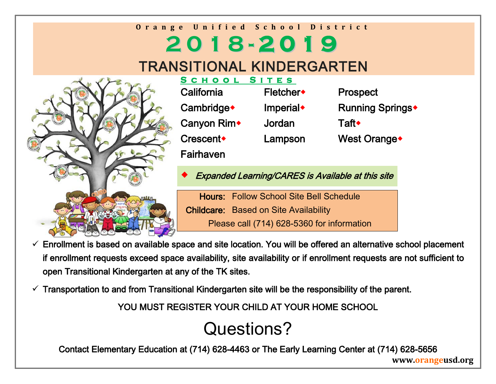### **Orange Unified School District 2 0 1 8 - 2 0 1 9** TRANSITIONAL KINDERGARTEN



| S I<br>TES            |                              |
|-----------------------|------------------------------|
| Fletcher◆             | <b>Prospect</b>              |
| Imperial <sup>*</sup> | Running Springs <sup>+</sup> |
| Jordan                | Taft◆                        |
| Lampson               | West Orange <sup>+</sup>     |
|                       |                              |
|                       |                              |

Expanded Learning/CARES is Available at this site

Hours: Follow School Site Bell Schedule Childcare: Based on Site Availability Please call (714) 628-5360 for information

- $\checkmark$  Enrollment is based on available space and site location. You will be offered an alternative school placement if enrollment requests exceed space availability, site availability or if enrollment requests are not sufficient to open Transitional Kindergarten at any of the TK sites.
- $\checkmark$  Transportation to and from Transitional Kindergarten site will be the responsibility of the parent.

YOU MUST REGISTER YOUR CHILD AT YOUR HOME SCHOOL

# Questions?

Contact Elementary Education at (714) 628-4463 or The Early Learning Center at (714) 628-5656

**www.orangeusd.org**